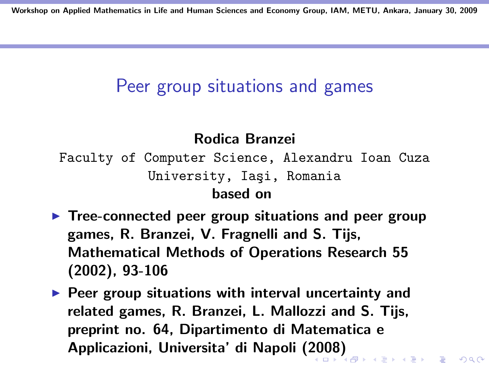#### Peer group situations and games

#### Rodica Branzei

Faculty of Computer Science, Alexandru Ioan Cuza University, Iaşi, Romania based on

- $\blacktriangleright$  Tree-connected peer group situations and peer group games, R. Branzei, V. Fragnelli and S. Tijs, Mathematical Methods of Operations Research 55 (2002), 93-106
- $\blacktriangleright$  Peer group situations with interval uncertainty and related games, R. Branzei, L. Mallozzi and S. Tijs, preprint no. 64, Dipartimento di Matematica e Applicazioni, Universita' di Napoli (2008)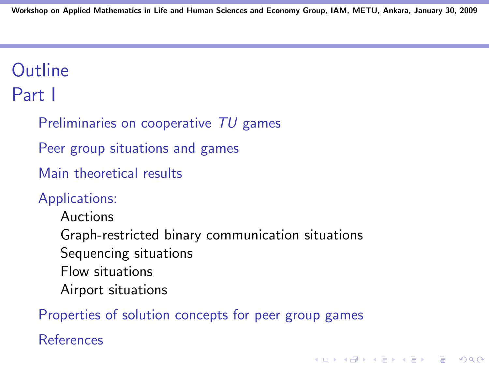# **Outline**

Part I

Preliminaries on cooperative TU games

Peer group situations and games

Main theoretical results

#### Applications:

Auctions Graph-restricted binary communication situations Sequencing situations Flow situations Airport situations

Properties of solution concepts for peer group games

**KORKA SERKER ORA** 

References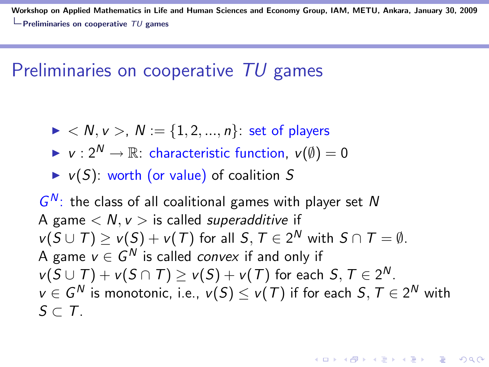## Preliminaries on cooperative TU games

- $\triangleright$  < N, v >, N := {1, 2, ..., n}: set of players
- $\triangleright \nu : 2^N \to \mathbb{R}$ : characteristic function,  $\nu(\emptyset) = 0$
- $\triangleright$  v(S): worth (or value) of coalition S

 $G^N$ : the class of all coalitional games with player set N A game  $\langle N, \nu \rangle$  is called *superadditive* if  $v(S \cup T) \geq v(S) + v(T)$  for all  $S, T \in 2^N$  with  $S \cap T = \emptyset$ . A game  $v\in G^N$  is called *convex* if and only if  $v(S \cup T) + v(S \cap T) \ge v(S) + v(T)$  for each  $S, T \in 2^N$ .  $v\in G^N$  is monotonic, i.e.,  $\mathit{v}(S)\leq \mathit{v}(\mathit{T})$  if for each  $S,\mathit{T}\in 2^N$  with  $S \subset T$ .

**KORKAR KERKER EL VOLO**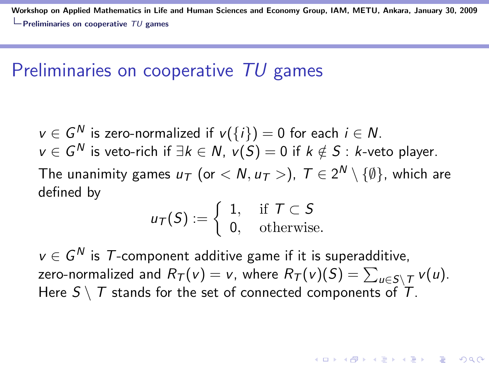## Preliminaries on cooperative TU games

 $v\in G^N$  is zero-normalized if  $v(\{i\})=0$  for each  $i\in N.$  $v\in G^{\textsf{N}}$  is veto-rich if  $\exists k\in \textsf{N}, \ v(S)=0$  if  $k\notin S$  :  $k$ -veto player. The unanimity games  $u_\mathcal{T}$  (or  $< N, u_\mathcal{T} >$ ),  $\mathcal{T} \in 2^\mathcal{N} \setminus \{ \emptyset \}$ , which are defined by

$$
u_{\mathcal{T}}(S) := \left\{ \begin{array}{ll} 1, & \text{if } \mathcal{T} \subset S \\ 0, & \text{otherwise.} \end{array} \right.
$$

 $v \in G^N$  is  $\mathcal T$ -component additive game if it is superadditive, zero-normalized and  $R_{\mathcal{T}}(v) = v$ , where  $R_{\mathcal{T}}(v)(S) = \sum_{u \in S \setminus \mathcal{T}} v(u).$ Here  $S \setminus T$  stands for the set of connected components of  $T$ .

**KORKAR KERKER EL VOLO**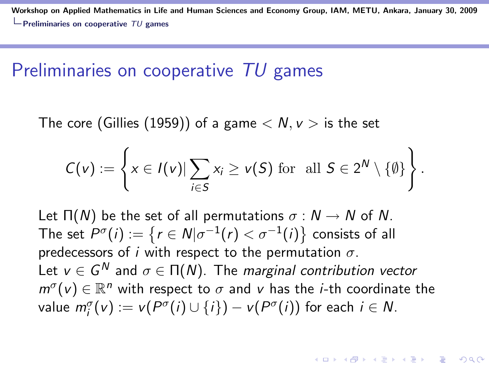#### Preliminaries on cooperative TU games

The core (Gillies (1959)) of a game  $\langle N, \nu \rangle$  is the set

$$
C(v) := \left\{ x \in I(v) | \sum_{i \in S} x_i \geq v(S) \text{ for all } S \in 2^N \setminus \{ \emptyset \} \right\}.
$$

Let  $\Pi(N)$  be the set of all permutations  $\sigma : N \to N$  of N. The set  $P^{\sigma}(i):=\{ \mathit{r} \in \mathit{N} | \sigma^{-1}(\mathit{r})<\sigma^{-1}(i)\}$  consists of all predecessors of i with respect to the permutation  $\sigma$ . Let  $v\in G^N$  and  $\sigma\in \Pi(N).$  The *marginal contribution vector*  $m^{\sigma}(v) \in \mathbb{R}^n$  with respect to  $\sigma$  and v has the *i*-th coordinate the value  $m_i^{\sigma}(v) := v(P^{\sigma}(i) \cup \{i\}) - v(P^{\sigma}(i))$  for each  $i \in N$ .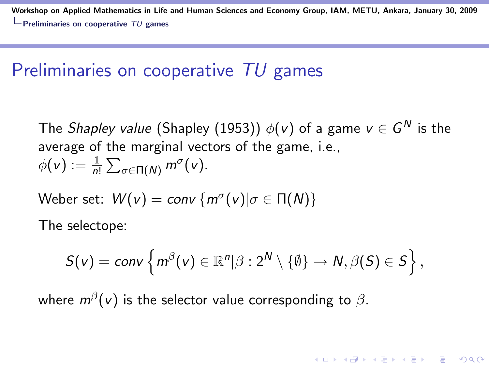#### Preliminaries on cooperative TU games

The *Shapley value* (Shapley (1953))  $\phi(\mathsf{v})$  of a game  $\mathsf{v}\in\mathsf{G}^{\mathsf{N}}$  is the average of the marginal vectors of the game, i.e.,  $\phi(v) := \frac{1}{n!} \sum_{\sigma \in \Pi(N)} m^{\sigma}(v).$ 

Weber set:  $W(v) = conv \{ m^{\sigma}(v) | \sigma \in \Pi(N) \}$ 

The selectope:

$$
S(v) = conv \left\{ m^{\beta}(v) \in \mathbb{R}^n | \beta : 2^N \setminus \{ \emptyset \} \to N, \beta(S) \in S \right\},\
$$

**KORKAR KERKER EL VOLO** 

where  $m^{\beta}(\mathsf{v})$  is the selector value corresponding to  $\beta.$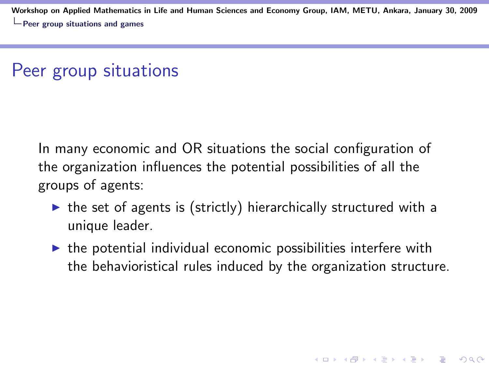#### Peer group situations

In many economic and OR situations the social configuration of the organization influences the potential possibilities of all the groups of agents:

- $\triangleright$  the set of agents is (strictly) hierarchically structured with a unique leader.
- $\triangleright$  the potential individual economic possibilities interfere with the behavioristical rules induced by the organization structure.

**KORKAR KERKER EL VOLO**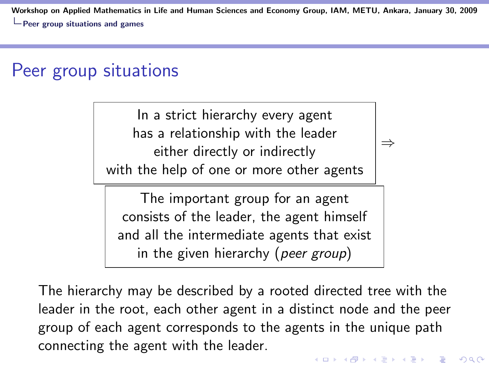#### Peer group situations

In a strict hierarchy every agent has a relationship with the leader either directly or indirectly with the help of one or more other agents

⇒

The important group for an agent consists of the leader, the agent himself and all the intermediate agents that exist in the given hierarchy (peer group)

The hierarchy may be described by a rooted directed tree with the leader in the root, each other agent in a distinct node and the peer group of each agent corresponds to the agents in the unique path connecting the agent with the leader.**KORK ERKER ADE YOUR**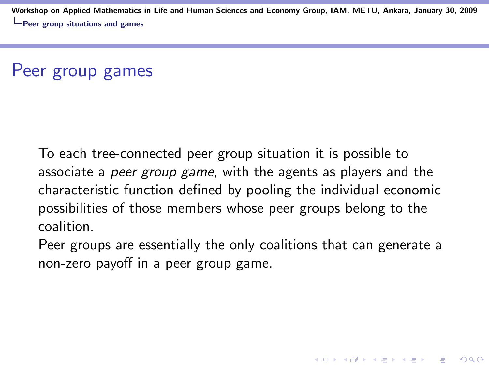### Peer group games

To each tree-connected peer group situation it is possible to associate a *peer group game*, with the agents as players and the characteristic function defined by pooling the individual economic possibilities of those members whose peer groups belong to the coalition.

Peer groups are essentially the only coalitions that can generate a non-zero payoff in a peer group game.

4 D > 4 P + 4 B + 4 B + B + 9 Q O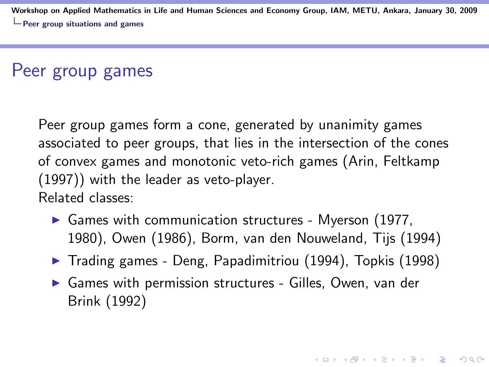#### Peer group games

Peer group games form a cone, generated by unanimity games associated to peer groups, that lies in the intersection of the cones of convex games and monotonic veto-rich games (Arin, Feltkamp (1997)) with the leader as veto-player. Related classes:

- $\triangleright$  Games with communication structures Myerson (1977, 1980), Owen (1986), Borm, van den Nouweland, Tijs (1994)
- $\blacktriangleright$  Trading games Deng, Papadimitriou (1994), Topkis (1998)

**K ロ ▶ K @ ▶ K 할 X X 할 X 및 할 X X Q Q O** 

 $\triangleright$  Games with permission structures - Gilles, Owen, van der Brink (1992)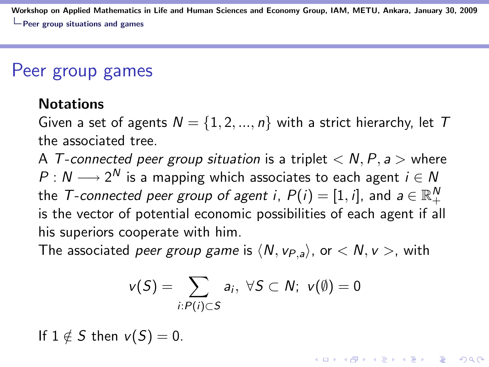#### Peer group games

#### **Notations**

Given a set of agents  $N = \{1, 2, ..., n\}$  with a strict hierarchy, let T the associated tree.

A T-connected peer group situation is a triplet  $\langle N, P, a \rangle$  where  $P: N \longrightarrow 2^N$  is a mapping which associates to each agent  $i \in N$ the  $\mathcal T$ -connected peer group of agent i,  $P(i)=[1,i]$ , and  $a\in\mathbb R_+^N$ is the vector of potential economic possibilities of each agent if all his superiors cooperate with him.

The associated *peer group game* is  $\langle N, v_{P,a} \rangle$ , or  $\langle N, v \rangle$ , with

$$
v(S) = \sum_{i:P(i)\subset S} a_i, \ \forall S \subset N; \ v(\emptyset) = 0
$$

If  $1 \notin S$  then  $v(S) = 0$ .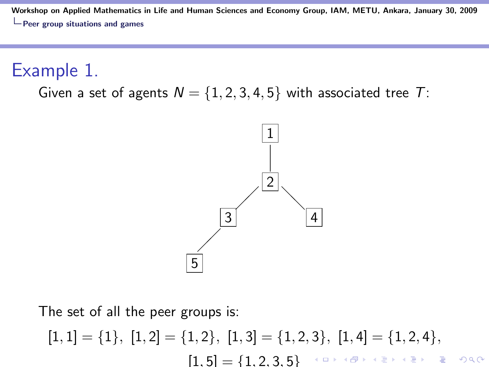Example 1.

Given a set of agents  $N = \{1, 2, 3, 4, 5\}$  with associated tree T:



The set of all the peer groups is:

$$
[1,1] = \{1\}, [1,2] = \{1,2\}, [1,3] = \{1,2,3\}, [1,4] = \{1,2,4\},
$$

$$
[1,5] = \{1,2,3,5\}
$$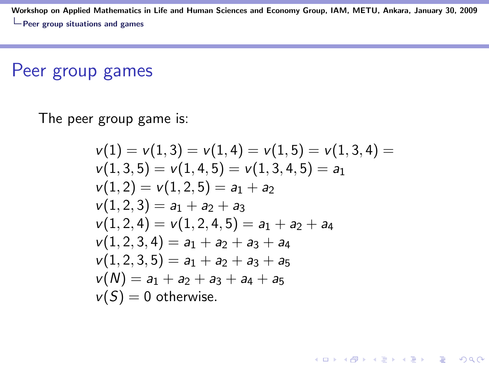#### Peer group games

The peer group game is:

$$
v(1) = v(1,3) = v(1,4) = v(1,5) = v(1,3,4) =
$$
  
\n
$$
v(1,3,5) = v(1,4,5) = v(1,3,4,5) = a_1
$$
  
\n
$$
v(1,2) = v(1,2,5) = a_1 + a_2
$$
  
\n
$$
v(1,2,3) = a_1 + a_2 + a_3
$$
  
\n
$$
v(1,2,4) = v(1,2,4,5) = a_1 + a_2 + a_4
$$
  
\n
$$
v(1,2,3,4) = a_1 + a_2 + a_3 + a_4
$$
  
\n
$$
v(1,2,3,5) = a_1 + a_2 + a_3 + a_5
$$
  
\n
$$
v(N) = a_1 + a_2 + a_3 + a_4 + a_5
$$
  
\n
$$
v(S) = 0 \text{ otherwise.}
$$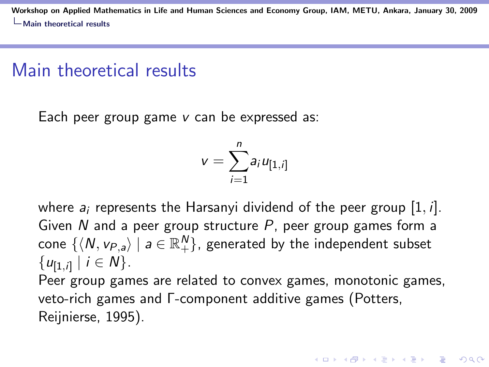#### Main theoretical results

Each peer group game v can be expressed as:

$$
v=\sum_{i=1}^n a_i u_{[1,i]}
$$

where  $a_i$  represents the Harsanyi dividend of the peer group [1, *i*]. Given  $N$  and a peer group structure  $P$ , peer group games form a cone  $\{\langle N, v_{P,a}\rangle \mid a \in \mathbb{R}^N_+\}$ , generated by the independent subset  $\{u_{[1,i]} \mid i \in N\}.$ Peer group games are related to convex games, monotonic games, veto-rich games and Γ-component additive games (Potters, Reijnierse, 1995).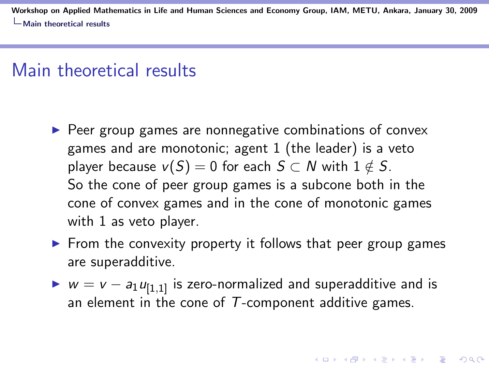#### Main theoretical results

- $\triangleright$  Peer group games are nonnegative combinations of convex games and are monotonic; agent 1 (the leader) is a veto player because  $v(S) = 0$  for each  $S \subset N$  with  $1 \notin S$ . So the cone of peer group games is a subcone both in the cone of convex games and in the cone of monotonic games with 1 as veto player.
- $\triangleright$  From the convexity property it follows that peer group games are superadditive.
- $\triangleright$   $w = v a_1 u_{[1,1]}$  is zero-normalized and superadditive and is an element in the cone of  $T$ -component additive games.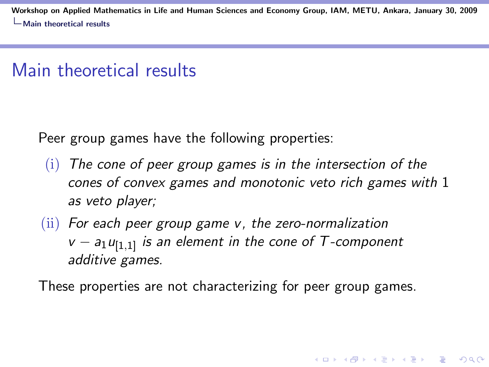#### Main theoretical results

Peer group games have the following properties:

- $(i)$  The cone of peer group games is in the intersection of the cones of convex games and monotonic veto rich games with 1 as veto player;
- $(iii)$  For each peer group game v, the zero-normalization  $v - a_1u_{[1,1]}$  is an element in the cone of T-component additive games.

These properties are not characterizing for peer group games.

**KORKAR KERKER EL VOLO**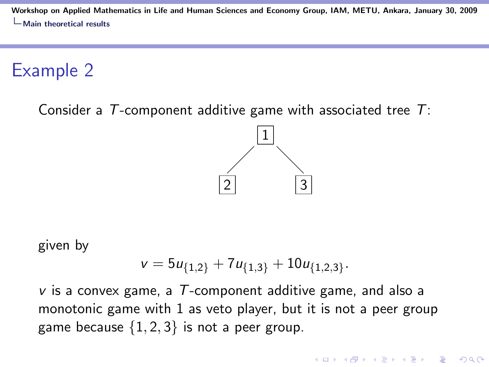Example 2

Consider a  $T$ -component additive game with associated tree  $T$ :



given by

$$
v = 5u_{\{1,2\}} + 7u_{\{1,3\}} + 10u_{\{1,2,3\}}.
$$

 $\nu$  is a convex game, a T-component additive game, and also a monotonic game with 1 as veto player, but it is not a peer group game because  $\{1, 2, 3\}$  is not a peer group.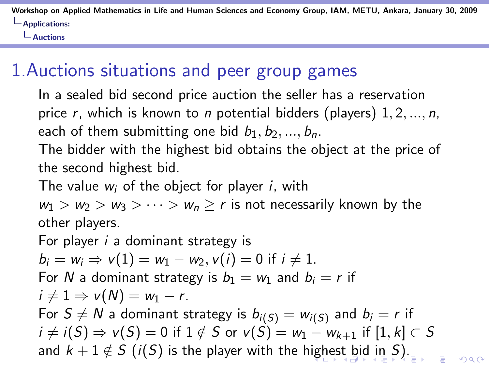Auctions

## 1.Auctions situations and peer group games

In a sealed bid second price auction the seller has a reservation price r, which is known to n potential bidders (players)  $1, 2, ..., n$ , each of them submitting one bid  $b_1, b_2, ..., b_n$ .

The bidder with the highest bid obtains the object at the price of the second highest bid.

The value  $w_i$  of the object for player i, with

 $w_1 > w_2 > w_3 > \cdots > w_n \ge r$  is not necessarily known by the other players.

For player *i* a dominant strategy is  $b_i = w_i \Rightarrow v(1) = w_1 - w_2, v(i) = 0$  if  $i \neq 1$ . For N a dominant strategy is  $b_1 = w_1$  and  $b_i = r$  if  $i \neq 1 \Rightarrow v(N) = w_1 - r$ . For  $S \neq N$  a dominant strategy is  $b_{i(S)} = w_{i(S)}$  and  $b_i = r$  if  $i \neq i(S) \Rightarrow v(S) = 0$  if  $1 \notin S$  or  $v(S) = w_1 - w_{k+1}$  if  $[1, k] \subset S$ and  $k + 1 \notin S$  (i(S) is the player with the highest bid in S).  $\Omega$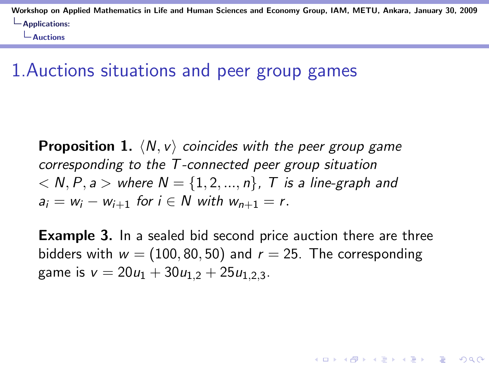Auctions

#### 1.Auctions situations and peer group games

**Proposition 1.**  $\langle N, v \rangle$  coincides with the peer group game corresponding to the T -connected peer group situation  $\langle N, P, a \rangle$  where  $N = \{1, 2, ..., n\}$ , T is a line-graph and  $a_i = w_i - w_{i+1}$  for  $i \in N$  with  $w_{n+1} = r$ .

**Example 3.** In a sealed bid second price auction there are three bidders with  $w = (100, 80, 50)$  and  $r = 25$ . The corresponding game is  $v = 20u_1 + 30u_{1,2} + 25u_{1,2,3}$ .

**KORK ERKER ADE YOUR**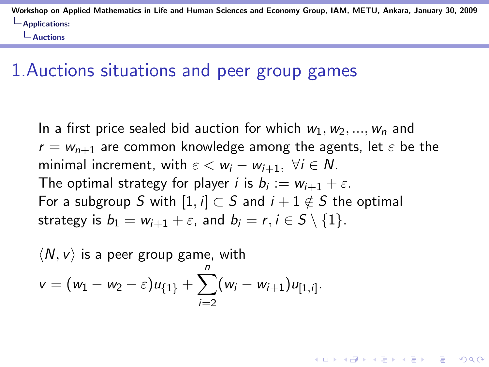Auctions

#### 1.Auctions situations and peer group games

In a first price sealed bid auction for which  $w_1, w_2, ..., w_n$  and  $r = w_{n+1}$  are common knowledge among the agents, let  $\varepsilon$  be the minimal increment, with  $\varepsilon < w_i - w_{i+1}$ ,  $\forall i \in \mathbb{N}$ . The optimal strategy for player *i* is  $b_i := w_{i+1} + \varepsilon$ . For a subgroup S with  $[1, i] \subset S$  and  $i + 1 \notin S$  the optimal strategy is  $b_1 = w_{i+1} + \varepsilon$ , and  $b_i = r, i \in S \setminus \{1\}.$ 

**KORK ERKER ADE YOUR** 

$$
\langle N, v \rangle \text{ is a peer group game, with}
$$
  

$$
v = (w_1 - w_2 - \varepsilon)u_{\{1\}} + \sum_{i=2}^{n} (w_i - w_{i+1})u_{[1,i]}.
$$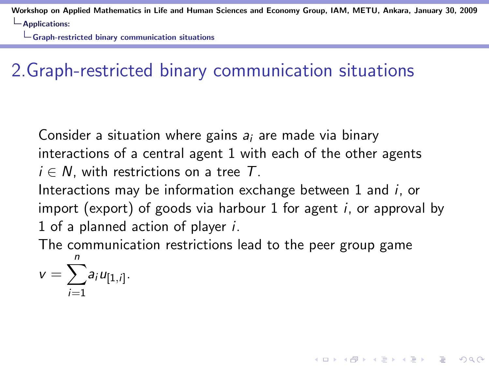$\Box$  Graph-restricted binary communication situations

# 2.Graph-restricted binary communication situations

Consider a situation where gains  $a_i$  are made via binary interactions of a central agent 1 with each of the other agents  $i \in N$ , with restrictions on a tree T.

Interactions may be information exchange between 1 and i, or import (export) of goods via harbour 1 for agent *i*, or approval by 1 of a planned action of player i.

4 D > 4 P + 4 B + 4 B + B + 9 Q O

The communication restrictions lead to the peer group game

$$
v=\sum_{i=1}^n a_i u_{[1,i]}.
$$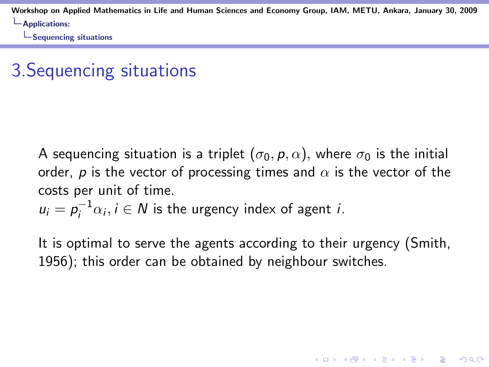**L**Sequencing situations

# 3.Sequencing situations

A sequencing situation is a triplet  $(\sigma_0, p, \alpha)$ , where  $\sigma_0$  is the initial order, p is the vector of processing times and  $\alpha$  is the vector of the costs per unit of time.

$$
u_i = p_i^{-1} \alpha_i, i \in \mathbb{N}
$$
 is the urgency index of agent *i*.

It is optimal to serve the agents according to their urgency (Smith, 1956); this order can be obtained by neighbour switches.

**KORK ERKER ADE YOUR**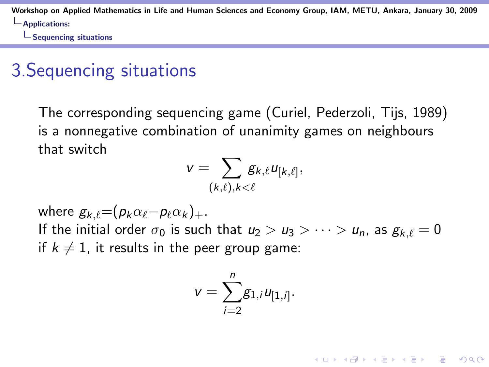$\Box$  Sequencing situations

# 3.Sequencing situations

The corresponding sequencing game (Curiel, Pederzoli, Tijs, 1989) is a nonnegative combination of unanimity games on neighbours that switch

$$
v=\sum_{(k,\ell),k<\ell}g_{k,\ell}u_{[k,\ell]},
$$

where  $g_{k,\ell}=(p_k\alpha_{\ell}-p_{\ell}\alpha_k)_+.$ If the initial order  $\sigma_0$  is such that  $u_2 > u_3 > \cdots > u_n$ , as  $g_{k,\ell} = 0$ if  $k \neq 1$ , it results in the peer group game:

$$
v=\sum_{i=2}^ng_{1,i}u_{[1,i]}.
$$

**KORK ERKER ADE YOUR**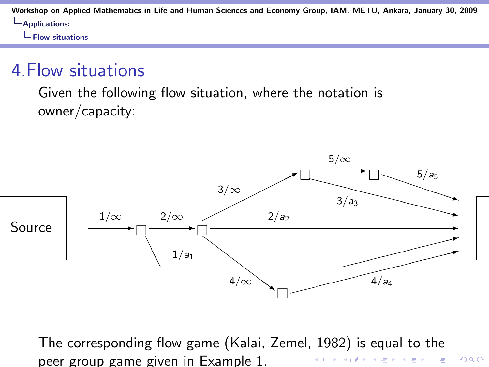$L$ Flow situations

#### 4.Flow situations

Given the following flow situation, where the notation is owner/capacity:



The corresponding flow game (Kalai, Zemel, 1982) is equal to the peer group game given in Example 1.K ロ > K @ > K 할 > K 할 > 1 할 : ⊙ Q Q^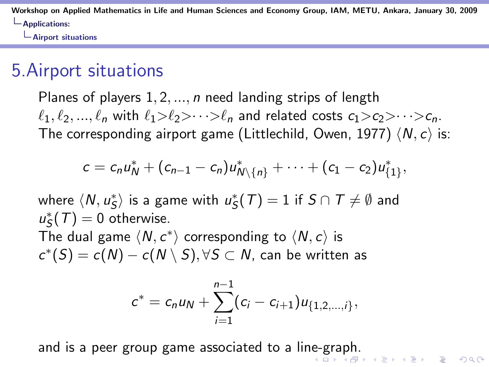Airport situations

## 5.Airport situations

Planes of players  $1, 2, ..., n$  need landing strips of length  $\ell_1, \ell_2, ..., \ell_n$  with  $\ell_1>\ell_2>\cdots>\ell_n$  and related costs  $c_1>c_2>\cdots>c_n$ . The corresponding airport game (Littlechild, Owen, 1977)  $\langle N, c \rangle$  is:

$$
c = c_n u_N^* + (c_{n-1} - c_n) u_{N \setminus \{n\}}^* + \cdots + (c_1 - c_2) u_{\{1\}}^*,
$$

where  $\langle \mathsf{N},u^*_\mathsf{S}\rangle$  is a game with  $u^*_\mathsf{S}(\mathcal{T})=1$  if  $\mathsf{S}\cap\mathcal{T}\neq\emptyset$  and  $u_S^*(T) = 0$  otherwise. The dual game  $\langle N, c^* \rangle$  corresponding to  $\langle N, c \rangle$  is  $c^*(S) = c(N) - c(N \setminus S), \forall S \subset N$ , can be written as

$$
c^* = c_n u_N + \sum_{i=1}^{n-1} (c_i - c_{i+1}) u_{\{1,2,\ldots,i\}},
$$

and is a peer group game associated to a line-graph.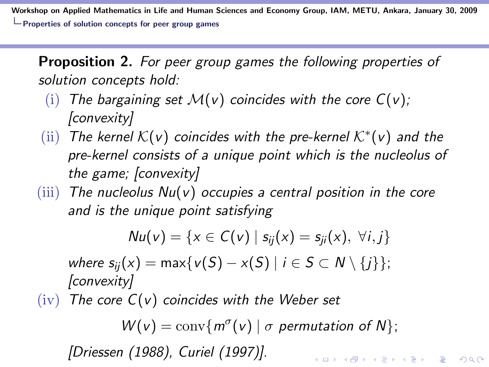Workshop on Applied Mathematics in Life and Human Sciences and Economy Group, IAM, METU, Ankara, January 30, 2009 Properties of solution concepts for peer group games

Proposition 2. For peer group games the following properties of solution concepts hold:

- (i) The bargaining set  $\mathcal{M}(v)$  coincides with the core  $C(v)$ ; [convexity]
- (ii) The kernel  $\mathcal{K}(v)$  coincides with the pre-kernel  $\mathcal{K}^*(v)$  and the pre-kernel consists of a unique point which is the nucleolus of the game; [convexity]
- $(iii)$  The nucleolus  $Nu(v)$  occupies a central position in the core and is the unique point satisfying

 $Nu(v) = \{x \in C(v) \mid s_{ii}(x) = s_{ii}(x), \forall i, j\}$ 

where  $s_{ii}(x) = \max\{v(S) - x(S) \mid i \in S \subset N \setminus \{i\}\};$ [convexity]

 $(iv)$  The core  $C(v)$  coincides with the Weber set

 $W(v) = \text{conv}\{m^{\sigma}(v) \mid \sigma \text{ permutation of } N\};$ 

**KORKAR KERKER EL VOLO** 

[Driessen (1988), Curiel (1997)].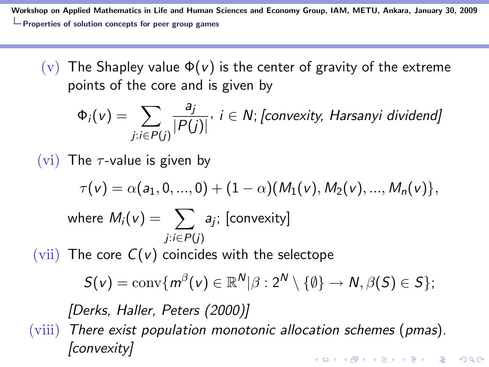Workshop on Applied Mathematics in Life and Human Sciences and Economy Group, IAM, METU, Ankara, January 30, 2009  $\Box$  Properties of solution concepts for peer group games

(v) The Shapley value  $\Phi(v)$  is the center of gravity of the extreme points of the core and is given by

$$
\Phi_i(v) = \sum_{j:i \in P(j)} \frac{a_j}{|P(j)|}, i \in N; [convexity, Harsanyi \text{ dividend}]
$$

(vi) The  $\tau$ -value is given by

[convexity]

$$
\tau(v) = \alpha(a_1, 0, ..., 0) + (1 - \alpha)(M_1(v), M_2(v), ..., M_n(v)),
$$
  
where  $M_i(v) = \sum_{j:i \in P(j)} a_j$ ; [convexity]  
(vii) The core  $C(v)$  coincides with the selective  
 $S(v) = \text{conv}\{m^{\beta}(v) \in \mathbb{R}^N | \beta : 2^N \setminus \{\emptyset\} \to N, \beta(S) \in S\};$   
[Derks, Haller, Peters (2000)]  
(viii) There exist population monotonic allocation schemes (pmas).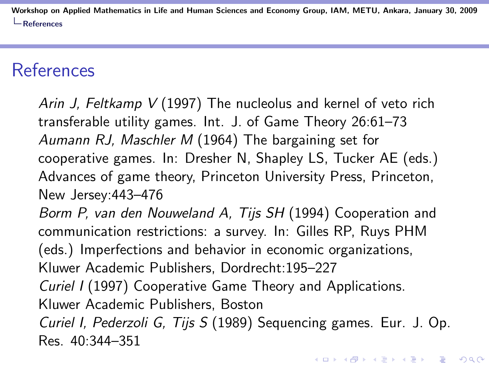#### References

Arin J, Feltkamp V (1997) The nucleolus and kernel of veto rich transferable utility games. Int. J. of Game Theory 26:61–73 Aumann RJ, Maschler M (1964) The bargaining set for cooperative games. In: Dresher N, Shapley LS, Tucker AE (eds.) Advances of game theory, Princeton University Press, Princeton, New Jersey:443–476

Borm P, van den Nouweland A, Tijs SH (1994) Cooperation and communication restrictions: a survey. In: Gilles RP, Ruys PHM (eds.) Imperfections and behavior in economic organizations, Kluwer Academic Publishers, Dordrecht:195–227

Curiel I (1997) Cooperative Game Theory and Applications.

Kluwer Academic Publishers, Boston

Curiel I, Pederzoli G, Tijs S (1989) Sequencing games. Eur. J. Op. Res. 40:344–351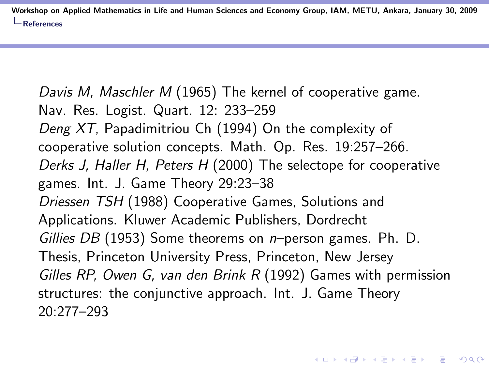Davis M, Maschler M (1965) The kernel of cooperative game. Nav. Res. Logist. Quart. 12: 233–259 Deng XT, Papadimitriou Ch (1994) On the complexity of cooperative solution concepts. Math. Op. Res. 19:257–266. Derks J, Haller H, Peters H (2000) The selectope for cooperative games. Int. J. Game Theory 29:23–38 Driessen TSH (1988) Cooperative Games, Solutions and Applications. Kluwer Academic Publishers, Dordrecht Gillies DB (1953) Some theorems on  $n$ -person games. Ph. D. Thesis, Princeton University Press, Princeton, New Jersey Gilles RP, Owen G, van den Brink R (1992) Games with permission structures: the conjunctive approach. Int. J. Game Theory 20:277–293

4 D > 4 P + 4 B + 4 B + B + 9 Q O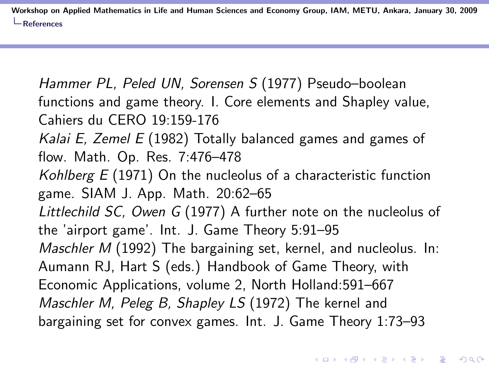Hammer PL, Peled UN, Sorensen S (1977) Pseudo–boolean functions and game theory. I. Core elements and Shapley value, Cahiers du CERO 19:159-176 Kalai E, Zemel  $E(1982)$  Totally balanced games and games of flow. Math. Op. Res. 7:476–478 Kohlberg  $E(1971)$  On the nucleolus of a characteristic function game. SIAM J. App. Math. 20:62–65 Littlechild SC, Owen G (1977) A further note on the nucleolus of the 'airport game'. Int. J. Game Theory 5:91–95 Maschler M (1992) The bargaining set, kernel, and nucleolus. In: Aumann RJ, Hart S (eds.) Handbook of Game Theory, with Economic Applications, volume 2, North Holland:591–667 Maschler M, Peleg B, Shapley LS (1972) The kernel and bargaining set for convex games. Int. J. Game Theory 1:73–93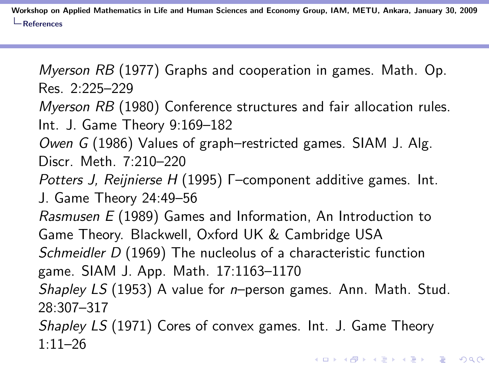Myerson RB (1977) Graphs and cooperation in games. Math. Op. Res. 2:225–229

Myerson RB (1980) Conference structures and fair allocation rules. Int. J. Game Theory 9:169–182

Owen G (1986) Values of graph–restricted games. SIAM J. Alg. Discr. Meth. 7:210–220

Potters J, Reijnierse H (1995) Γ–component additive games. Int. J. Game Theory 24:49–56

Rasmusen E (1989) Games and Information, An Introduction to Game Theory. Blackwell, Oxford UK & Cambridge USA Schmeidler D (1969) The nucleolus of a characteristic function

game. SIAM J. App. Math. 17:1163–1170

Shapley LS (1953) A value for n-person games. Ann. Math. Stud. 28:307–317

Shapley LS (1971) Cores of convex games. Int. J. Game Theory  $1:11-26$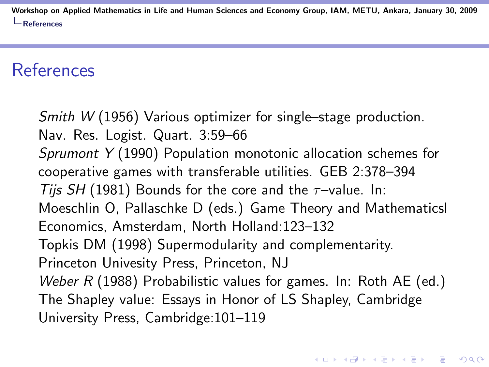## References

Smith W (1956) Various optimizer for single–stage production. Nav. Res. Logist. Quart. 3:59–66 Sprumont Y (1990) Population monotonic allocation schemes for cooperative games with transferable utilities. GEB 2:378–394 Tijs SH (1981) Bounds for the core and the  $\tau$ -value. In: Moeschlin O, Pallaschke D (eds.) Game Theory and Mathematicsl Economics, Amsterdam, North Holland:123–132 Topkis DM (1998) Supermodularity and complementarity. Princeton Univesity Press, Princeton, NJ Weber  $R$  (1988) Probabilistic values for games. In: Roth AE (ed.) The Shapley value: Essays in Honor of LS Shapley, Cambridge University Press, Cambridge:101–119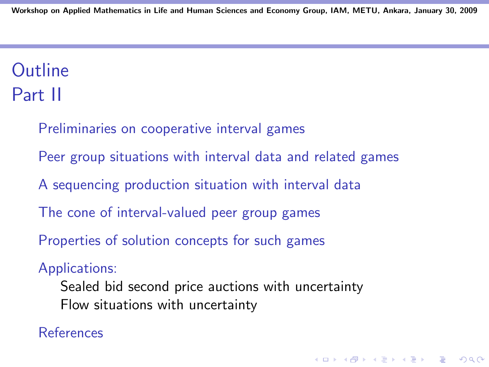# **Outline** Part II

Preliminaries on cooperative interval games

Peer group situations with interval data and related games

A sequencing production situation with interval data

The cone of interval-valued peer group games

Properties of solution concepts for such games

#### Applications:

Sealed bid second price auctions with uncertainty Flow situations with uncertainty

4 D > 4 P + 4 B + 4 B + B + 9 Q O

#### References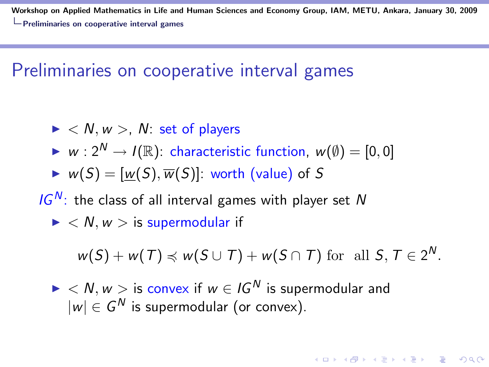## Preliminaries on cooperative interval games

- $\blacktriangleright$  < N, w >, N: set of players
- $\triangleright$  w :  $2^N \rightarrow I(\mathbb{R})$ : characteristic function,  $w(\emptyset) = [0, 0]$
- $W(S) = [w(S), \overline{w}(S)]$ : worth (value) of S
- $IG<sup>N</sup>$ : the class of all interval games with player set N
	- $\blacktriangleright$  < N,  $w >$  is supermodular if

$$
w(S) + w(T) \preccurlyeq w(S \cup T) + w(S \cap T) \text{ for all } S, T \in 2^N.
$$

**KORKAR KERKER EL VOLO** 

 $\blacktriangleright$  < N, w > is convex if  $w \in I$  G<sup>N</sup> is supermodular and  $|w| \in G^N$  is supermodular (or convex).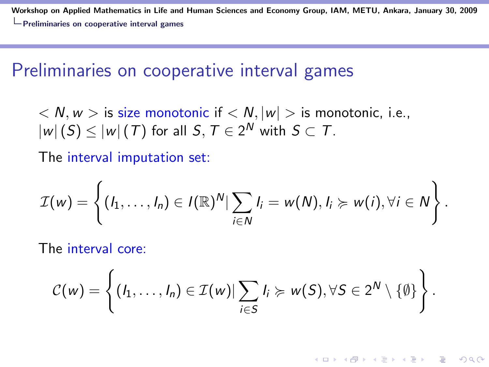#### Preliminaries on cooperative interval games

 $\langle N, w \rangle$  is size monotonic if  $\langle N, |w| \rangle$  is monotonic, i.e.,  $|w| \left( S \right) \le |w| \left( \mathcal{T} \right)$  for all  $\mathcal{S}, \mathcal{T} \in 2^{\mathcal{N}}$  with  $\mathcal{S} \subset \mathcal{T}.$ 

The interval imputation set:

$$
\mathcal{I}(w) = \left\{ (I_1, \ldots, I_n) \in I(\mathbb{R})^N | \sum_{i \in N} I_i = w(N), I_i \succcurlyeq w(i), \forall i \in N \right\}.
$$

The interval core:

$$
C(w) = \left\{ (I_1, \ldots, I_n) \in \mathcal{I}(w) | \sum_{i \in S} I_i \succcurlyeq w(S), \forall S \in 2^N \setminus \{\emptyset\} \right\}.
$$

**KORK ERKER ADE YOUR**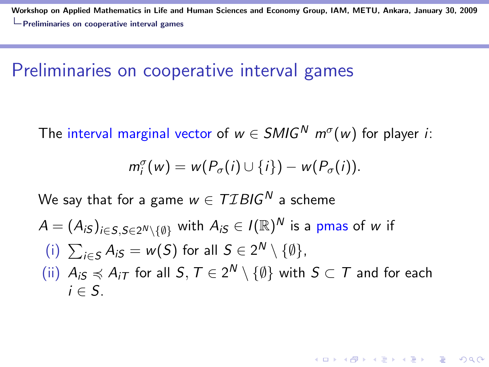#### Preliminaries on cooperative interval games

The interval marginal vector of  $w \in SMIG^N$   $m^{\sigma}(w)$  for player *i*:

$$
m_i^{\sigma}(w) = w(P_{\sigma}(i) \cup \{i\}) - w(P_{\sigma}(i)).
$$

We say that for a game  $w \in TIBIG^N$  a scheme

$$
A = (A_{iS})_{i \in S, S \in 2^N \setminus \{\emptyset\}} \text{ with } A_{iS} \in I(\mathbb{R})^N \text{ is a pmas of } w \text{ if}
$$
\n(i) 
$$
\sum_{i \in S} A_{iS} = w(S) \text{ for all } S \in 2^N \setminus \{\emptyset\},
$$
\n(ii) 
$$
A_{iS} \preccurlyeq A_{iT} \text{ for all } S, T \in 2^N \setminus \{\emptyset\} \text{ with } S \subset T \text{ and for each}
$$
\n
$$
i \in S.
$$

**K ロ ▶ K @ ▶ K 할 X X 할 X 및 할 X X Q Q O**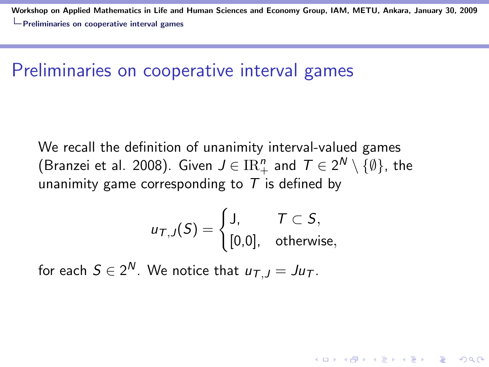### Preliminaries on cooperative interval games

We recall the definition of unanimity interval-valued games (Branzei et al. 2008). Given  $J\in \mathrm{IR}^n_+$  and  $\,\mathcal{T}\in 2^{\textstyle \mathcal{N}}\setminus\{\emptyset\},$  the unanimity game corresponding to  $T$  is defined by

$$
u_{\mathcal{T},J}(S) = \begin{cases} J, & \mathcal{T} \subset S, \\ [0,0], & \text{otherwise,} \end{cases}
$$

for each  $S\in 2^{\textsf{N}}.$  We notice that  $u_{\mathcal{T},J}=Ju_{\mathcal{T}}.$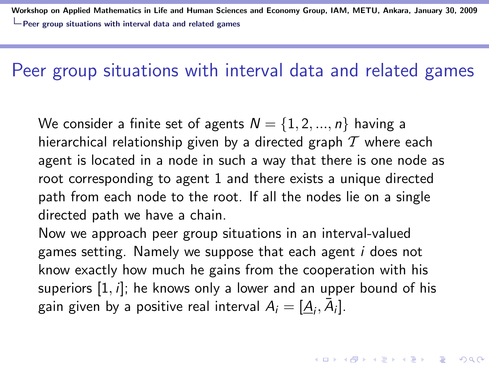### Peer group situations with interval data and related games

We consider a finite set of agents  $N = \{1, 2, ..., n\}$  having a hierarchical relationship given by a directed graph  $T$  where each agent is located in a node in such a way that there is one node as root corresponding to agent 1 and there exists a unique directed path from each node to the root. If all the nodes lie on a single directed path we have a chain.

Now we approach peer group situations in an interval-valued games setting. Namely we suppose that each agent i does not know exactly how much he gains from the cooperation with his superiors  $[1, i]$ ; he knows only a lower and an upper bound of his gain given by a positive real interval  $A_i = [\underline{A}_i, \overline{A}_i].$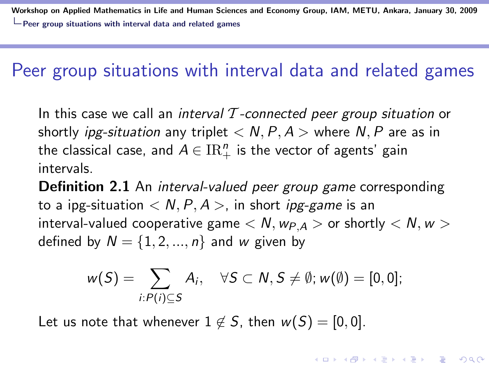#### Peer group situations with interval data and related games

In this case we call an interval  $\mathcal T$ -connected peer group situation or shortly *ipg-situation* any triplet  $\langle N, P, A \rangle$  where N, P are as in the classical case, and  $A\in\mathrm{IR}_+^n$  is the vector of agents' gain intervals.

**Definition 2.1** An *interval-valued peer group game* corresponding to a ipg-situation  $\langle N, P, A \rangle$ , in short *ipg-game* is an interval-valued cooperative game  $\langle N, w_{P,A} \rangle$  or shortly  $\langle N, w \rangle$ defined by  $N = \{1, 2, ..., n\}$  and w given by

$$
w(S) = \sum_{i:P(i)\subseteq S} A_i, \quad \forall S \subset N, S \neq \emptyset; w(\emptyset) = [0,0];
$$

**KORKAR KERKER EL VOLO** 

Let us note that whenever  $1 \notin S$ , then  $w(S) = [0, 0]$ .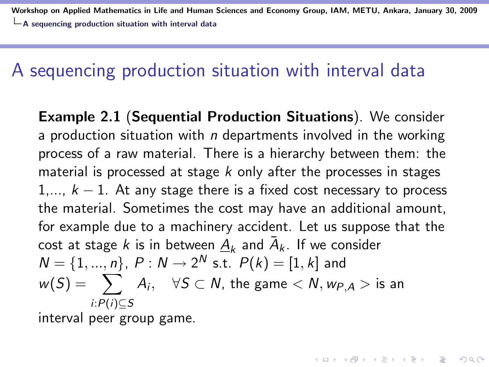Workshop on Applied Mathematics in Life and Human Sciences and Economy Group, IAM, METU, Ankara, January 30, 2009  $\Box$  A sequencing production situation with interval data

#### A sequencing production situation with interval data

Example 2.1 (Sequential Production Situations). We consider a production situation with  $n$  departments involved in the working process of a raw material. There is a hierarchy between them: the material is processed at stage  $k$  only after the processes in stages 1,...,  $k - 1$ . At any stage there is a fixed cost necessary to process the material. Sometimes the cost may have an additional amount, for example due to a machinery accident. Let us suppose that the cost at stage  $k$  is in between  $\underline{A}_k$  and  $\bar{A}_k$ . If we consider  $N = \{1, ..., n\}$ ,  $P: N \to 2^N$  s.t.  $P(k) = [1, k]$  and  $w(\mathcal{S}) = \sum_{i} A_i, \quad \forall \mathcal{S} \subset \mathcal{N}, \text{ the game } < \mathcal{N}, w_{\mathcal{P},\mathcal{A}} > \text{ is an } \mathcal{S}$ i:P(i)⊆S

**KORKAR KERKER EL VOLO** 

interval peer group game.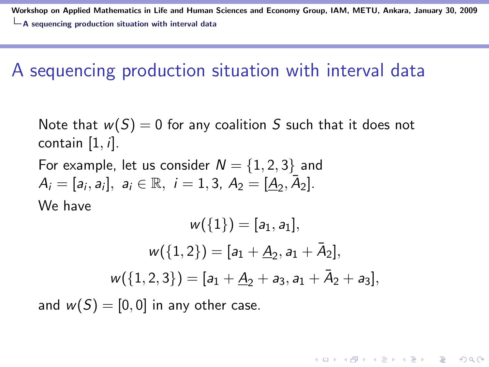Workshop on Applied Mathematics in Life and Human Sciences and Economy Group, IAM, METU, Ankara, January 30, 2009  $\Box$  A sequencing production situation with interval data

## A sequencing production situation with interval data

Note that  $w(S) = 0$  for any coalition S such that it does not contain  $[1, i]$ .

For example, let us consider  $N = \{1, 2, 3\}$  and  $A_i = [a_i, a_i], \ a_i \in \mathbb{R}, \ i = 1, 3, \ A_2 = [\underline{A}_2, \overline{A}_2].$ We have

$$
w({1}) = [a1, a1],
$$
  
\n
$$
w({1, 2}) = [a1 + \underline{A}2, a1 + \bar{A}2],
$$
  
\n
$$
w({1, 2, 3}) = [a1 + \underline{A}2 + a3, a1 + \bar{A}2 + a3],
$$

**KORKAR KERKER E VOOR** 

and  $w(S) = [0, 0]$  in any other case.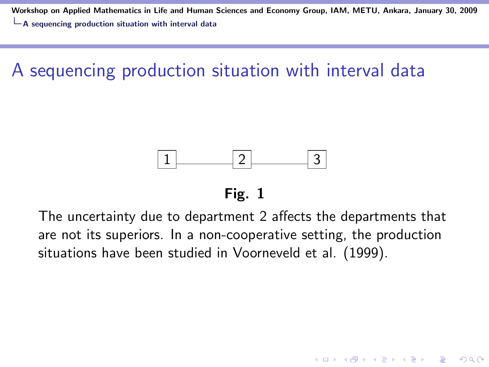Workshop on Applied Mathematics in Life and Human Sciences and Economy Group, IAM, METU, Ankara, January 30, 2009  $\mathsf{L}_{\mathbf{\Delta}}$  sequencing production situation with interval data

# A sequencing production situation with interval data



#### Fig. 1

The uncertainty due to department 2 affects the departments that are not its superiors. In a non-cooperative setting, the production situations have been studied in Voorneveld et al. (1999).

**KORK ERKER ADE YOUR**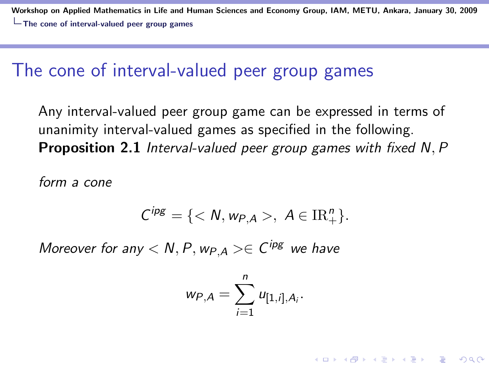Workshop on Applied Mathematics in Life and Human Sciences and Economy Group, IAM, METU, Ankara, January 30, 2009 The cone of interval-valued peer group games

#### The cone of interval-valued peer group games

Any interval-valued peer group game can be expressed in terms of unanimity interval-valued games as specified in the following. Proposition 2.1 Interval-valued peer group games with fixed N, P

form a cone

$$
C^{ips} = \{ \langle N, w_{P,A} \rangle, A \in \mathrm{IR}^n_+\}.
$$

Moreover for any  $< N, P, w_{P,A} > \in C^{ipg}$  we have

$$
w_{P,A} = \sum_{i=1}^n u_{[1,i],A_i}.
$$

**KORKAR KERKER E VOOR**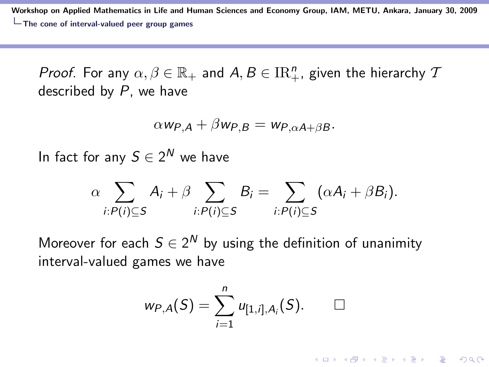Workshop on Applied Mathematics in Life and Human Sciences and Economy Group, IAM, METU, Ankara, January 30, 2009 The cone of interval-valued peer group games

*Proof.* For any  $\alpha, \beta \in \mathbb{R}_+$  and  $A, B \in \mathrm{IR}_+^n$ , given the hierarchy  $\mathcal I$ described by P, we have

$$
\alpha \mathsf{w}_{\mathsf{P},\mathsf{A}} + \beta \mathsf{w}_{\mathsf{P},\mathsf{B}} = \mathsf{w}_{\mathsf{P},\alpha \mathsf{A} + \beta \mathsf{B}}.
$$

In fact for any  $S\in 2^{\textsf{N}}$  we have

$$
\alpha \sum_{i:P(i)\subseteq S} A_i + \beta \sum_{i:P(i)\subseteq S} B_i = \sum_{i:P(i)\subseteq S} (\alpha A_i + \beta B_i).
$$

Moreover for each  $S \in 2^N$  by using the definition of unanimity interval-valued games we have

$$
w_{P,A}(S)=\sum_{i=1}^n u_{[1,i],A_i}(S). \qquad \Box
$$

**KORK ERKER ADE YOUR**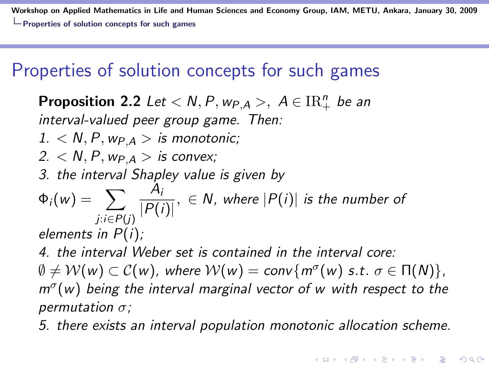Workshop on Applied Mathematics in Life and Human Sciences and Economy Group, IAM, METU, Ankara, January 30, 2009  $\Box$  Properties of solution concepts for such games

## Properties of solution concepts for such games

**Proposition 2.2** Let  $\langle N, P, w_{P,A} \rangle$ ,  $A \in \mathrm{IR}_+^n$  be an interval-valued peer group game. Then:  $1. < N, P, w_{P,A} >$  is monotonic; 2.  $\lt N$ , P,  $w_{P,A} >$  is convex; 3. the interval Shapley value is given by  $\Phi_i(w) = \sum$ j:i∈P(j)  $A_i$  $\frac{P(t)}{|P(i)|}, \in N$ , where  $|P(i)|$  is the number of elements in  $P(i)$ ; 4. the interval Weber set is contained in the interval core:  $\emptyset \neq \mathcal{W}(w) \subset \mathcal{C}(w)$ , where  $\mathcal{W}(w) = \mathsf{conv}\{m^\sigma(w) \text{ s.t. } \sigma \in \Pi(\mathcal{N})\},$  $m^{\sigma}(w)$  being the interval marginal vector of w with respect to the permutation  $\sigma$ ;

5. there exists an interval population monotonic allocation scheme.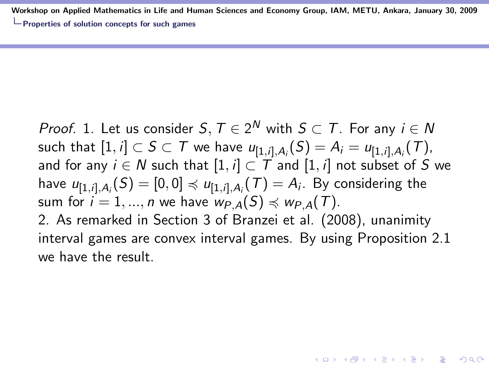Workshop on Applied Mathematics in Life and Human Sciences and Economy Group, IAM, METU, Ankara, January 30, 2009 **L** Properties of solution concepts for such games

*Proof.* 1. Let us consider  $S,$   $T \in 2^N$  with  $S \subset T$ . For any  $i \in N$ such that  $[1, i] \subset S \subset \mathcal{T}$  we have  $\iota_{[1, i], A_i}(S) = A_i = \iota_{[1, i], A_i}(\mathcal{T})$ , and for any  $i \in N$  such that  $[1, i] \subset T$  and  $[1, i]$  not subset of S we have  $u_{[1,i],A_i}(S) = [0,0] \preccurlyeq u_{[1,i],A_i}(T) = A_i$ . By considering the sum for  $i = 1, ..., n$  we have  $w_{P,A}(S) \preccurlyeq w_{P,A}(T)$ . 2. As remarked in Section 3 of Branzei et al. (2008), unanimity interval games are convex interval games. By using Proposition 2.1 we have the result

**KORKAR KERKER E VOOR**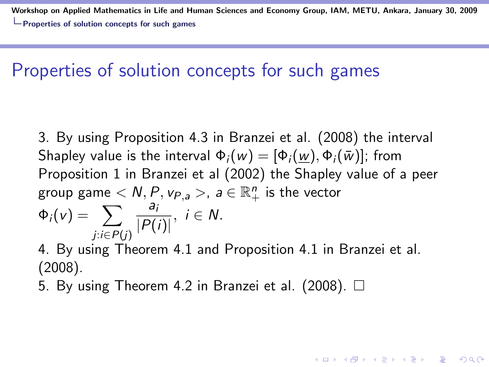Workshop on Applied Mathematics in Life and Human Sciences and Economy Group, IAM, METU, Ankara, January 30, 2009 **L** Properties of solution concepts for such games

#### Properties of solution concepts for such games

3. By using Proposition 4.3 in Branzei et al. (2008) the interval Shapley value is the interval  $\Phi_i(w) = [\Phi_i(w), \Phi_i(\bar{w})]$ ; from Proposition 1 in Branzei et al (2002) the Shapley value of a peer group game  $< N, P,$   $\mathsf{v}_{P, \mathsf{a}}>$ ,  $\mathsf{a} \in \mathbb{R}^n_+$  is the vector  $\Phi_i(v) = \sum$ j:i∈P(j) ai  $\frac{a_i}{|P(i)|}, i \in N.$ 

4. By using Theorem 4.1 and Proposition 4.1 in Branzei et al. (2008).

**KORKAR KERKER E VOOR** 

5. By using Theorem 4.2 in Branzei et al. (2008).  $\Box$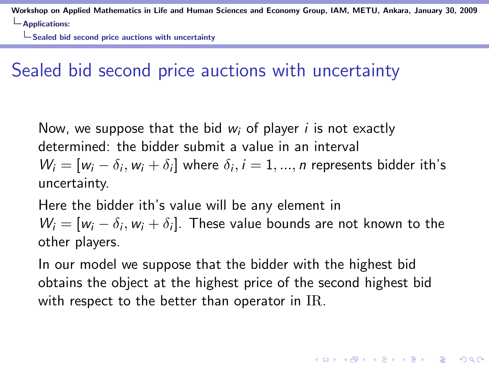$\Box$  Sealed bid second price auctions with uncertainty

# Sealed bid second price auctions with uncertainty

Now, we suppose that the bid  $w_i$  of player i is not exactly determined: the bidder submit a value in an interval  $W_i = [w_i - \delta_i, w_i + \delta_i]$  where  $\delta_i, i = 1, ..., n$  represents bidder ith's uncertainty.

Here the bidder ith's value will be any element in  $W_i = [w_i - \delta_i, w_i + \delta_i]$ . These value bounds are not known to the other players.

In our model we suppose that the bidder with the highest bid obtains the object at the highest price of the second highest bid with respect to the better than operator in IR.

**KORKAR KERKER E VOOR**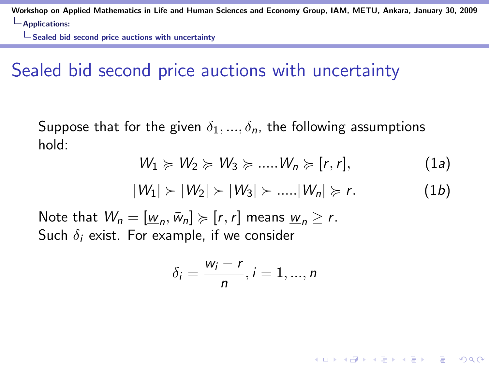Sealed bid second price auctions with uncertainty

## Sealed bid second price auctions with uncertainty

Suppose that for the given  $\delta_1, ..., \delta_n$ , the following assumptions hold:

$$
W_1 \succcurlyeq W_2 \succcurlyeq W_3 \succcurlyeq ....W_n \succcurlyeq [r,r], \qquad (1a)
$$

$$
|W_1| > |W_2| > |W_3| > .... |W_n| \geq r.
$$
 (1b)

**KORK ERKER ADE YOUR** 

Note that  $W_n = [\underline{w}_n, \overline{w}_n] \succcurlyeq [r, r]$  means  $\underline{w}_n \geq r$ . Such  $\delta_i$  exist. For example, if we consider

$$
\delta_i=\frac{w_i-r}{n}, i=1,...,n
$$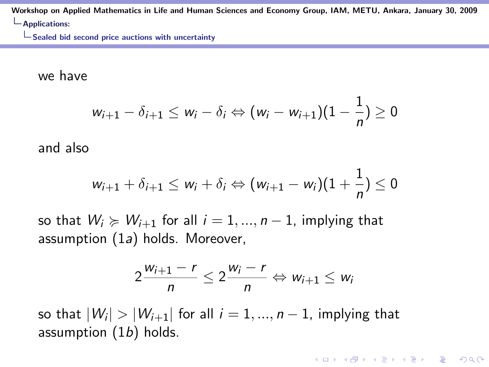$\Box$  Sealed bid second price auctions with uncertainty

we have

$$
w_{i+1}-\delta_{i+1}\leq w_i-\delta_i \Leftrightarrow (w_i-w_{i+1})(1-\frac{1}{n})\geq 0
$$

and also

$$
w_{i+1}+\delta_{i+1}\leq w_i+\delta_i \Leftrightarrow (w_{i+1}-w_i)(1+\frac{1}{n})\leq 0
$$

so that  $W_i \succcurlyeq W_{i+1}$  for all  $i = 1, ..., n-1$ , implying that assumption (1a) holds. Moreover,

$$
2\frac{w_{i+1}-r}{n}\leq 2\frac{w_i-r}{n}\Leftrightarrow w_{i+1}\leq w_i
$$

**KORKAR KERKER E VOOR** 

so that  $\vert{}W_i\vert>\vert{}W_{i+1}\vert$  for all  $i=1,...,n-1$ , implying that assumption  $(1b)$  holds.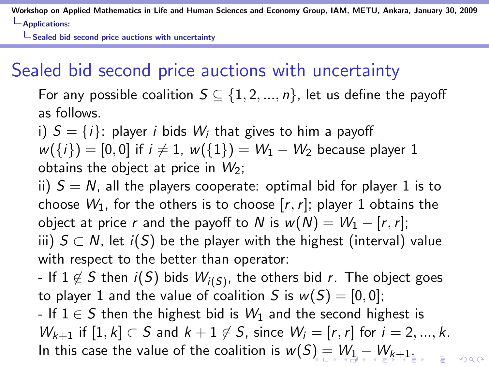Sealed bid second price auctions with uncertainty

# Sealed bid second price auctions with uncertainty

For any possible coalition  $S \subseteq \{1, 2, ..., n\}$ , let us define the payoff as follows.

i)  $S = \{i\}$ : player i bids  $W_i$  that gives to him a payoff  $w({i}) = [0, 0]$  if  $i \neq 1$ ,  $w({1}) = W_1 - W_2$  because player 1 obtains the object at price in  $W_2$ ;

ii)  $S = N$ , all the players cooperate: optimal bid for player 1 is to choose  $W_1$ , for the others is to choose  $[r, r]$ ; player 1 obtains the object at price r and the payoff to N is  $w(N) = W_1 - [r, r]$ ; iii)  $S \subset N$ , let  $i(S)$  be the player with the highest (interval) value with respect to the better than operator:

- If  $1\not\in\mathcal{S}$  then  $i(\mathcal{S})$  bids  $W_{i(\mathcal{S})}$ , the others bid  $r.$  The object goes to player 1 and the value of coalition S is  $w(S) = [0, 0]$ ; - If  $1 \in S$  then the highest bid is  $W_1$  and the second highest is  $W_{k+1}$  if  $[1, k] \subset S$  and  $k+1 \notin S$ , since  $W_i = [r, r]$  for  $i = 2, ..., k$ . In this case the value of the coalition is  $w(S) = W_1 - W_{k+1}$ .

 $\Omega$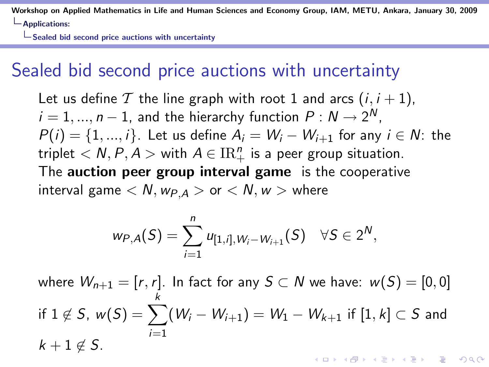Sealed bid second price auctions with uncertainty

## Sealed bid second price auctions with uncertainty

Let us define T the line graph with root 1 and arcs  $(i, i + 1)$ ,  $i=1,...,n-1$ , and the hierarchy function  $P: N \rightarrow 2^N,$  $P(i) = \{1, ..., i\}$ . Let us define  $A_i = W_i - W_{i+1}$  for any  $i \in N$ : the triplet  $\langle N, P, A \rangle$  with  $A \in \mathrm{IR}_+^n$  is a peer group situation. The auction peer group interval game is the cooperative interval game  $\langle N, w_{PA} \rangle$  or  $\langle N, w \rangle$  where

$$
w_{P,A}(S) = \sum_{i=1}^n u_{[1,i],W_i-W_{i+1}}(S) \quad \forall S \in 2^N,
$$

where  $W_{n+1} = [r, r]$ . In fact for any  $S \subset N$  we have:  $w(S) = [0, 0]$ k if  $1 \notin S$ ,  $w(S) = \sum$  $(\mathsf{W}_i-\mathsf{W}_{i+1})=\mathsf{W}_1-\mathsf{W}_{k+1}$  if  $[1,k]\subset S$  and  $i=1$  $k + 1 \notin S$ . .<br>◆ ロ ▶ → *덴* ▶ → 경 ▶ → 경 ▶ │ 경 │ ◇ 9,9,0°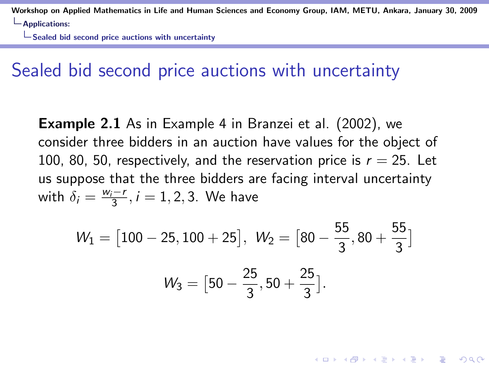$\Box$  Sealed bid second price auctions with uncertainty

#### Sealed bid second price auctions with uncertainty

**Example 2.1** As in Example 4 in Branzei et al. (2002), we consider three bidders in an auction have values for the object of 100, 80, 50, respectively, and the reservation price is  $r = 25$ . Let us suppose that the three bidders are facing interval uncertainty with  $\delta_i = \frac{w_i - r}{3}$ ,  $i = 1, 2, 3$ . We have

$$
W_1 = [100 - 25, 100 + 25], W_2 = [80 - \frac{55}{3}, 80 + \frac{55}{3}]
$$

$$
W_3 = [50 - \frac{25}{3}, 50 + \frac{25}{3}].
$$

4 D > 4 P + 4 B + 4 B + B + 9 Q O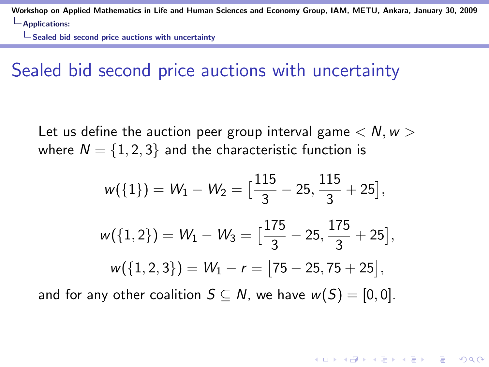Sealed bid second price auctions with uncertainty

#### Sealed bid second price auctions with uncertainty

Let us define the auction peer group interval game  $\langle N, w \rangle$ where  $N = \{1, 2, 3\}$  and the characteristic function is

$$
w({1}) = W_1 - W_2 = \left[\frac{115}{3} - 25, \frac{115}{3} + 25\right],
$$
  

$$
w({1, 2}) = W_1 - W_3 = \left[\frac{175}{3} - 25, \frac{175}{3} + 25\right],
$$
  

$$
w({1, 2, 3}) = W_1 - r = \left[75 - 25, 75 + 25\right],
$$

4 D > 4 P + 4 B + 4 B + B + 9 Q O

and for any other coalition  $S \subseteq N$ , we have  $w(S) = [0, 0]$ .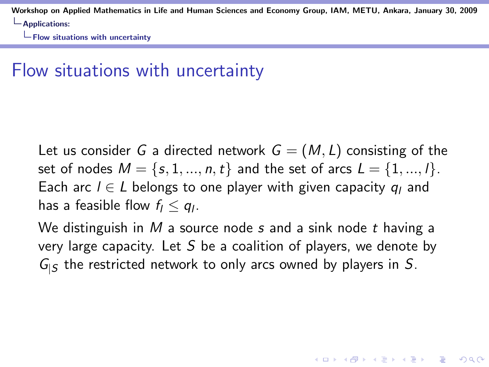$\Box$  Flow situations with uncertainty

## Flow situations with uncertainty

Let us consider G a directed network  $G = (M, L)$  consisting of the set of nodes  $M = \{s, 1, ..., n, t\}$  and the set of arcs  $L = \{1, ..., l\}$ . Each arc  $l \in L$  belongs to one player with given capacity  $q_l$  and has a feasible flow  $f_l \leq q_l$ .

We distinguish in  $M$  a source node s and a sink node t having a very large capacity. Let S be a coalition of players, we denote by  $G_{\vert S}$  the restricted network to only arcs owned by players in S.

**KORKAR KERKER E VOOR**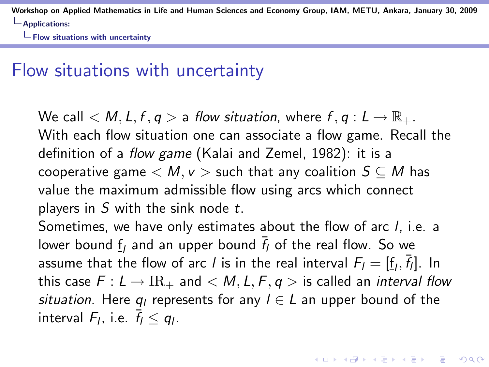$\Box$  Flow situations with uncertainty

#### Flow situations with uncertainty

We call  $\langle M, L, f, q \rangle$  a flow situation, where  $f, q: L \to \mathbb{R}_{+}$ . With each flow situation one can associate a flow game. Recall the definition of a flow game (Kalai and Zemel, 1982): it is a cooperative game  $\langle M, v \rangle$  such that any coalition  $S \subseteq M$  has value the maximum admissible flow using arcs which connect players in  $S$  with the sink node  $t$ .

Sometimes, we have only estimates about the flow of arc l, i.e. a lower bound  $\underline{f}_l$  and an upper bound  $\overline{f}_l$  of the real flow. So we assume that the flow of arc  $l$  is in the real interval  $F_l = [\underline{f}_l, \overline{f}_l].$  In this case  $F: L \to \mathrm{IR}_+$  and  $\lt M, L, F, q >$  is called an *interval flow* situation. Here  $q_l$  represents for any  $l \in L$  an upper bound of the interval  $F_l$ , i.e.  $\bar{f}_l \leq q_l$ .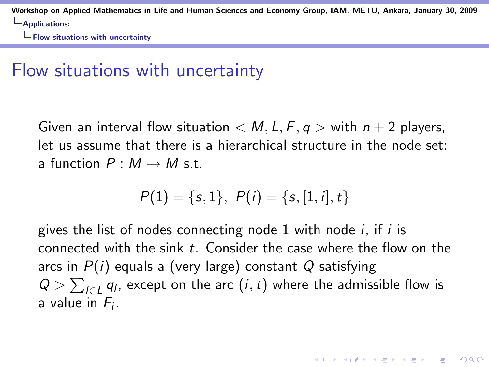$\Box$  Flow situations with uncertainty

## Flow situations with uncertainty

Given an interval flow situation  $\langle M, L, F, q \rangle$  with  $n + 2$  players, let us assume that there is a hierarchical structure in the node set: a function  $P: M \rightarrow M$  s.t.

$$
P(1) = \{s, 1\}, P(i) = \{s, [1, i], t\}
$$

gives the list of nodes connecting node 1 with node  $i$ , if  $i$  is connected with the sink  $t$ . Consider the case where the flow on the arcs in  $P(i)$  equals a (very large) constant Q satisfying  $Q > \sum_{l \in L} q_l$ , except on the arc  $(i,t)$  where the admissible flow is a value in  $F_i$ .

**KORK ERKER ADE YOUR**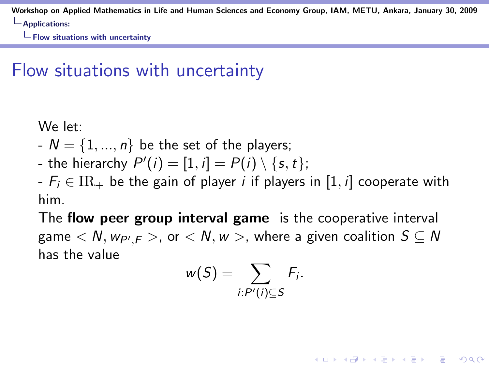$\Box$  Flow situations with uncertainty

# Flow situations with uncertainty

We let:

- $-N = \{1, ..., n\}$  be the set of the players;
- the hierarchy  $P'(i) = [1, i] = P(i) \setminus \{s, t\};$

 $-F_i \in IR_+$  be the gain of player *i* if players in [1, *i*] cooperate with him.

The flow peer group interval game is the cooperative interval game  $< N, w_{P',F}>$ , or  $< N, w>$ , where a given coalition  $S \subseteq N$ has the value

$$
w(S)=\sum_{i:P'(i)\subseteq S}F_i.
$$

**KORK ERKER ADE YOUR**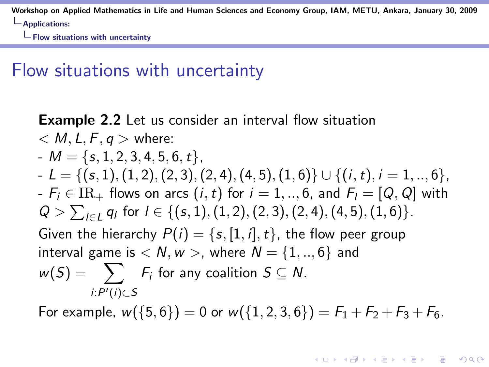$\Box$  Flow situations with uncertainty

#### Flow situations with uncertainty

**Example 2.2** Let us consider an interval flow situation  $< M, L, F, q >$  where:  $-M = \{s, 1, 2, 3, 4, 5, 6, t\},\$  $-L = \{(s, 1), (1, 2), (2, 3), (2, 4), (4, 5), (1, 6)\} \cup \{(i, t), i = 1, ..., 6\},$  $-F_i \in IR_+$  flows on arcs  $(i, t)$  for  $i = 1, ..., 6$ , and  $F_i = [Q, Q]$  with  $Q > \sum_{l \in L} q_l$  for  $l \in \{(s, 1), (1, 2), (2, 3), (2, 4), (4, 5), (1, 6)\}.$ Given the hierarchy  $P(i) = \{s, [1, i], t\}$ , the flow peer group interval game is  $\langle N, w \rangle$ , where  $N = \{1, ..., 6\}$  and  $w(S) = \sum F_i$  for any coalition  $S \subseteq N$ .  $i: P'(i)$ ⊂S

For example,  $w({5, 6}) = 0$  or  $w({1, 2, 3, 6}) = F_1 + F_2 + F_3 + F_6$ .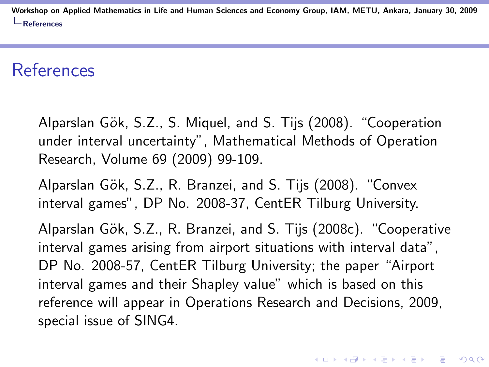#### References

Alparslan Gök, S.Z., S. Miquel, and S. Tijs (2008). "Cooperation under interval uncertainty", Mathematical Methods of Operation Research, Volume 69 (2009) 99-109.

Alparslan Gök, S.Z., R. Branzei, and S. Tijs (2008). "Convex interval games", DP No. 2008-37, CentER Tilburg University.

Alparslan Gök, S.Z., R. Branzei, and S. Tijs (2008c). "Cooperative interval games arising from airport situations with interval data", DP No. 2008-57, CentER Tilburg University; the paper "Airport interval games and their Shapley value" which is based on this reference will appear in Operations Research and Decisions, 2009, special issue of SING4.